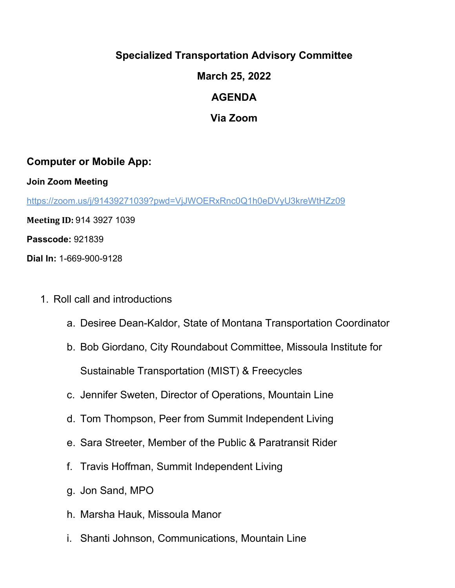## **Specialized Transportation Advisory Committee**

**March 25, 2022**

## **AGENDA**

**Via Zoom**

## **Computer or Mobile App:**

**Join Zoom Meeting**

<https://zoom.us/j/91439271039?pwd=VjJWOERxRnc0Q1h0eDVyU3kreWtHZz09>

**Meeting ID:** 914 3927 1039

**Passcode:** 921839

**Dial In:** 1-669-900-9128

- 1. Roll call and introductions
	- a. Desiree Dean-Kaldor, State of Montana Transportation Coordinator
	- b. Bob Giordano, City Roundabout Committee, Missoula Institute for Sustainable Transportation (MIST) & Freecycles
	- c. Jennifer Sweten, Director of Operations, Mountain Line
	- d. Tom Thompson, Peer from Summit Independent Living
	- e. Sara Streeter, Member of the Public & Paratransit Rider
	- f. Travis Hoffman, Summit Independent Living
	- g. Jon Sand, MPO
	- h. Marsha Hauk, Missoula Manor
	- i. Shanti Johnson, Communications, Mountain Line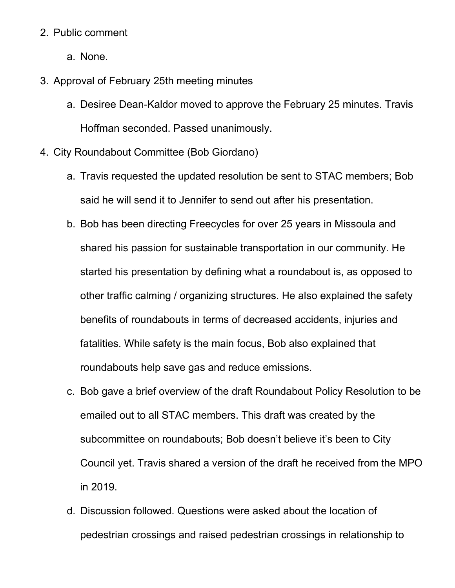## 2. Public comment

- a. None.
- 3. Approval of February 25th meeting minutes
	- a. Desiree Dean-Kaldor moved to approve the February 25 minutes. Travis Hoffman seconded. Passed unanimously.
- 4. City Roundabout Committee (Bob Giordano)
	- a. Travis requested the updated resolution be sent to STAC members; Bob said he will send it to Jennifer to send out after his presentation.
	- b. Bob has been directing Freecycles for over 25 years in Missoula and shared his passion for sustainable transportation in our community. He started his presentation by defining what a roundabout is, as opposed to other traffic calming / organizing structures. He also explained the safety benefits of roundabouts in terms of decreased accidents, injuries and fatalities. While safety is the main focus, Bob also explained that roundabouts help save gas and reduce emissions.
	- c. Bob gave a brief overview of the draft Roundabout Policy Resolution to be emailed out to all STAC members. This draft was created by the subcommittee on roundabouts; Bob doesn't believe it's been to City Council yet. Travis shared a version of the draft he received from the MPO in 2019.
	- d. Discussion followed. Questions were asked about the location of pedestrian crossings and raised pedestrian crossings in relationship to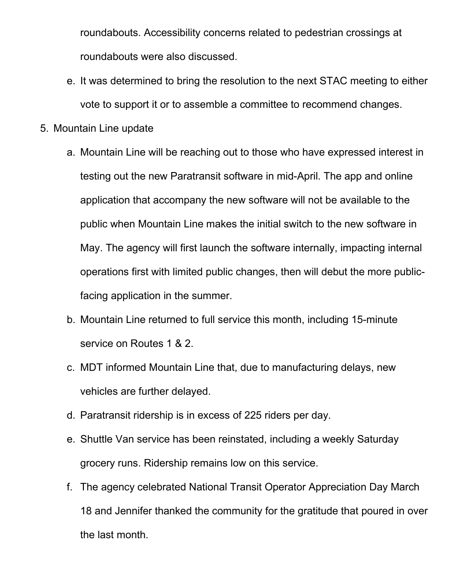roundabouts. Accessibility concerns related to pedestrian crossings at roundabouts were also discussed.

- e. It was determined to bring the resolution to the next STAC meeting to either vote to support it or to assemble a committee to recommend changes.
- 5. Mountain Line update
	- a. Mountain Line will be reaching out to those who have expressed interest in testing out the new Paratransit software in mid-April. The app and online application that accompany the new software will not be available to the public when Mountain Line makes the initial switch to the new software in May. The agency will first launch the software internally, impacting internal operations first with limited public changes, then will debut the more publicfacing application in the summer.
	- b. Mountain Line returned to full service this month, including 15-minute service on Routes 1 & 2.
	- c. MDT informed Mountain Line that, due to manufacturing delays, new vehicles are further delayed.
	- d. Paratransit ridership is in excess of 225 riders per day.
	- e. Shuttle Van service has been reinstated, including a weekly Saturday grocery runs. Ridership remains low on this service.
	- f. The agency celebrated National Transit Operator Appreciation Day March 18 and Jennifer thanked the community for the gratitude that poured in over the last month.